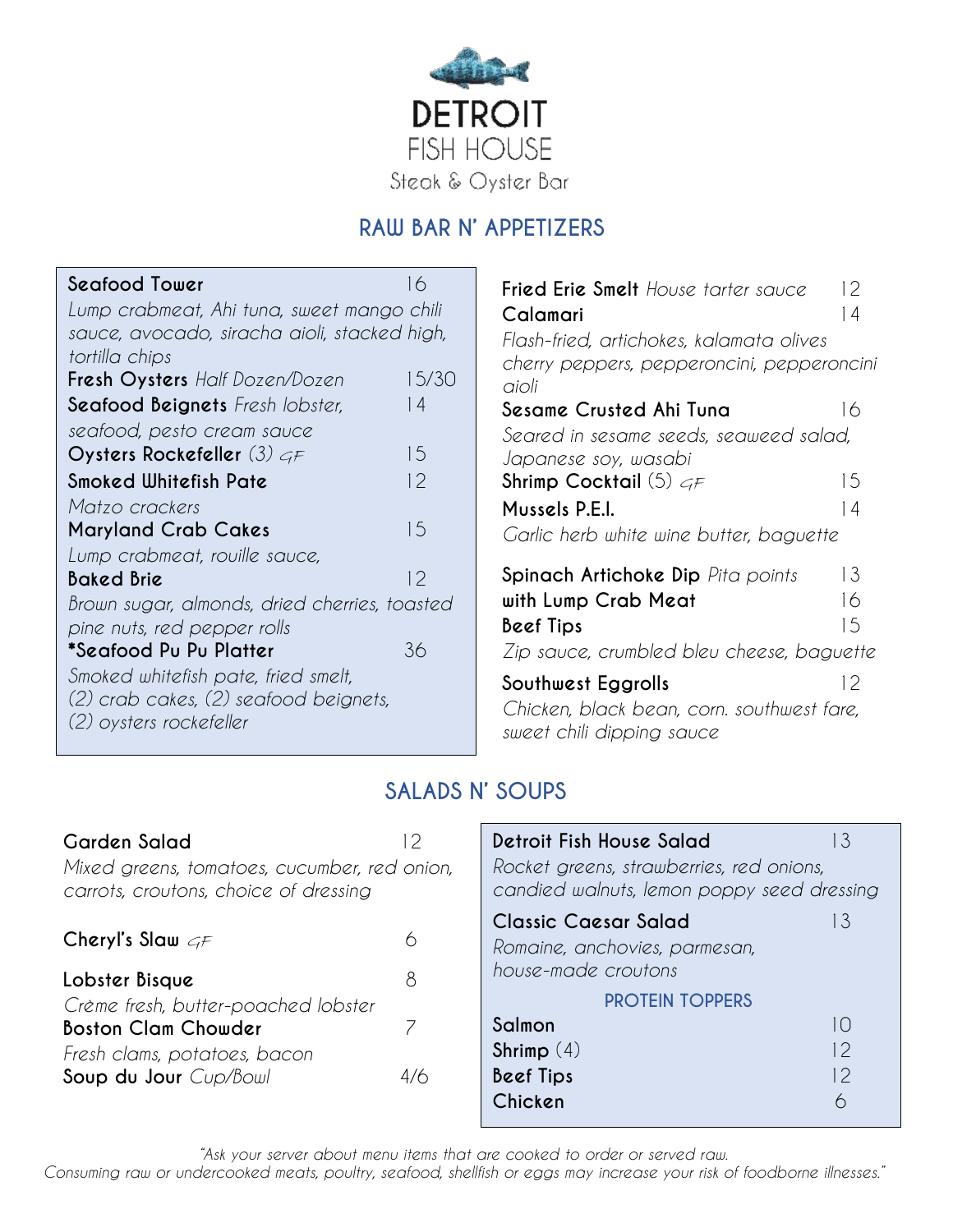

## **RAW BAR N' APPETIZERS**

| Seafood Tower                                 | 16    |
|-----------------------------------------------|-------|
| Lump crabmeat, Ahi tuna, sweet mango chili    |       |
| sauce, avocado, siracha aioli, stacked high,  |       |
| tortilla chips                                |       |
| Fresh Oysters Half Dozen/Dozen                | 15/30 |
| <b>Seafood Beignets</b> Fresh lobster,        | 14    |
| seafood, pesto cream sauce                    |       |
| Oysters Rockefeller (3) $GF$                  | 15    |
| Smoked Whitefish Pate                         | 12    |
| Matzo crackers                                |       |
| <b>Maryland Crab Cakes</b>                    | 15    |
| Lump crabmeat, rouille sauce,                 |       |
| Baked Brie                                    | 12    |
| Brown sugar, almonds, dried cherries, toasted |       |
| pine nuts, red pepper rolls                   |       |
| *Seafood Pu Pu Platter                        | 36    |
| Smoked whitefish pate, fried smelt,           |       |
| (2) crab cakes, (2) seafood beignets,         |       |
| (2) oysters rockefeller                       |       |
|                                               |       |

| <b>Fried Erie Smelt</b> House tarter sauce<br>Calamari         | 12<br>14 |
|----------------------------------------------------------------|----------|
| Flash-fried, artichokes, kalamata olives                       |          |
| cherry peppers, pepperoncini, pepperoncini<br>aioli            |          |
| Sesame Crusted Ahi Tuna                                        | 16       |
| Seared in sesame seeds, seaweed salad,<br>Japanese soy, wasabi |          |
| Shrimp Cocktail (5) $\epsilon_F$                               | 15       |
| Mussels P.E.I.                                                 | 14       |
| Garlic herb white wine butter, baguette                        |          |
| <b>Spinach Artichoke Dip</b> Pita points                       | 13       |
| with Lump Crab Meat                                            | 16       |
| Beef Tips                                                      | 15       |
| Zip sauce, crumbled bleu cheese, baguette                      |          |
| Southwest Eggrolls                                             | 12       |

*Chicken, black bean, corn. southwest fare, sweet chili dipping sauce*

## **SALADS N' SOUPS**

| Garden Salad<br>Mixed greens, tomatoes, cucumber, red onion,<br>carrots, croutons, choice of dressing | 2      | Detroit Fish House Salad<br>Rocket greens, strawberries, red onions,<br>candied walnuts, lemon poppy seed dressing | 3                 |
|-------------------------------------------------------------------------------------------------------|--------|--------------------------------------------------------------------------------------------------------------------|-------------------|
| Cheryl's Slaw $c_F$<br>Lobster Bisque                                                                 | ∩<br>8 | <b>Classic Caesar Salad</b><br>Romaine, anchovies, parmesan,<br>house-made croutons                                | 3                 |
| Crème fresh, butter-poached lobster                                                                   |        | <b>PROTEIN TOPPERS</b>                                                                                             |                   |
| <b>Boston Clam Chowder</b>                                                                            |        | Salmon                                                                                                             | l ()              |
| Fresh clams, potatoes, bacon                                                                          |        | Shrimp $(4)$                                                                                                       | $\sqrt{2}$        |
| Soup du Jour Cup/Bowl                                                                                 | 4/6    | <b>Beef Tips</b>                                                                                                   | $\mathbin{\circ}$ |
|                                                                                                       |        | Chicken                                                                                                            | 6                 |

*"Ask your server about menu items that are cooked to order or served raw.*

*Consuming raw or undercooked meats, poultry, seafood, shellfish or eggs may increase your risk of foodborne illnesses."*